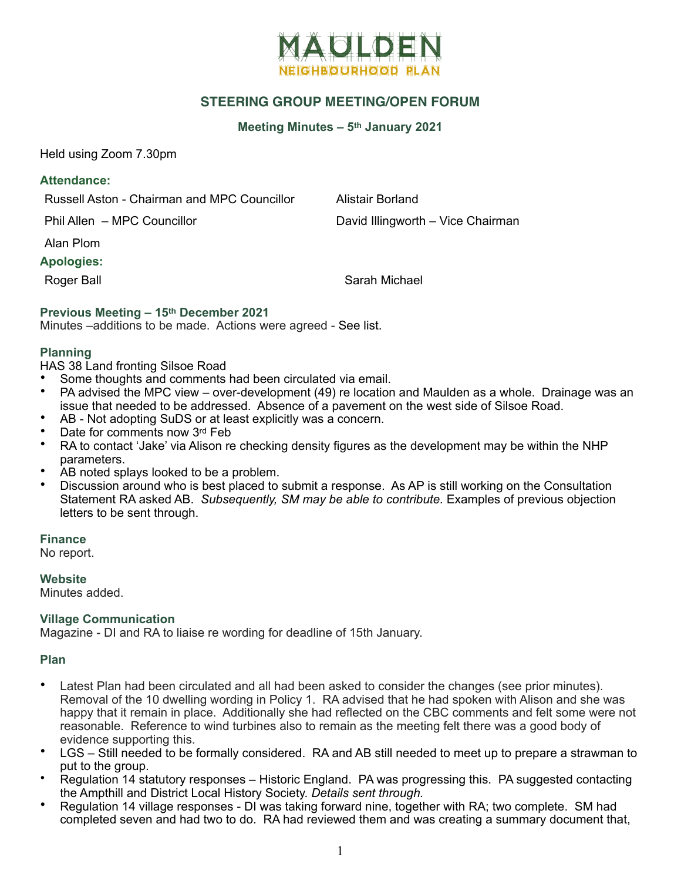

# **STEERING GROUP MEETING/OPEN FORUM**

## **Meeting Minutes – 5th January 2021**

Held using Zoom 7.30pm

#### **Attendance:**

Russell Aston - Chairman and MPC Councillor Alistair Borland

Phil Allen – MPC Councillor **David Illingworth – Vice Chairman** 

Alan Plom

## **Apologies:**

Roger Ball Sarah Michael

## **Previous Meeting – 15th December 2021**

Minutes –additions to be made. Actions were agreed - See list.

## **Planning**

HAS 38 Land fronting Silsoe Road

- Some thoughts and comments had been circulated via email.
- PA advised the MPC view over-development (49) re location and Maulden as a whole. Drainage was an issue that needed to be addressed. Absence of a pavement on the west side of Silsoe Road.
- AB Not adopting SuDS or at least explicitly was a concern.
- Date for comments now 3rd Feb
- RA to contact 'Jake' via Alison re checking density figures as the development may be within the NHP parameters.
- AB noted splays looked to be a problem.
- Discussion around who is best placed to submit a response. As AP is still working on the Consultation Statement RA asked AB. *Subsequently, SM may be able to contribute.* Examples of previous objection letters to be sent through.

**Finance**

No report.

**Website** Minutes added.

#### **Village Communication**

Magazine - DI and RA to liaise re wording for deadline of 15th January.

## **Plan**

- Latest Plan had been circulated and all had been asked to consider the changes (see prior minutes). Removal of the 10 dwelling wording in Policy 1. RA advised that he had spoken with Alison and she was happy that it remain in place. Additionally she had reflected on the CBC comments and felt some were not reasonable. Reference to wind turbines also to remain as the meeting felt there was a good body of evidence supporting this.
- LGS Still needed to be formally considered. RA and AB still needed to meet up to prepare a strawman to put to the group.
- Regulation 14 statutory responses Historic England. PA was progressing this. PA suggested contacting the Ampthill and District Local History Society. *Details sent through.*
- Regulation 14 village responses DI was taking forward nine, together with RA; two complete. SM had completed seven and had two to do. RA had reviewed them and was creating a summary document that,